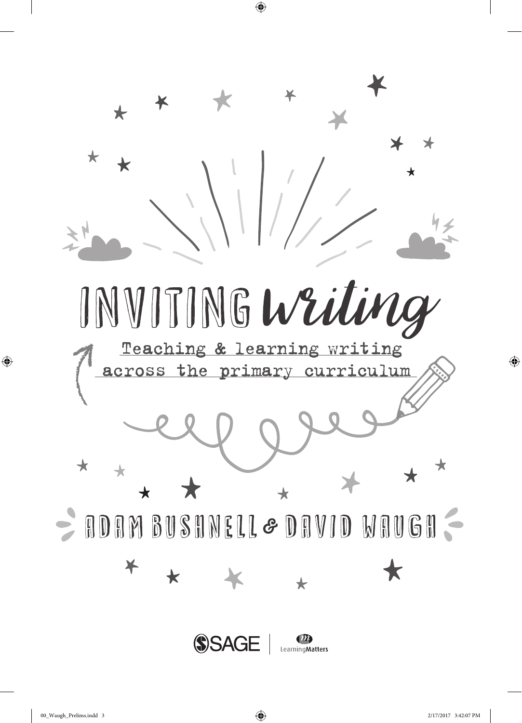

 $\bigoplus$ 

 $\bigoplus$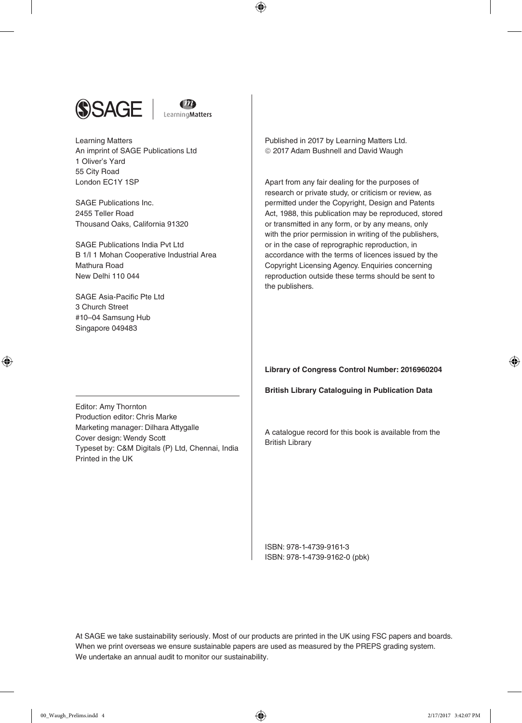



 $\bigoplus$ 

Learning Matters An imprint of SAGE Publications Ltd 1 Oliver's Yard 55 City Road London EC1Y 1SP

SAGE Publications Inc. 2455 Teller Road Thousand Oaks, California 91320

SAGE Publications India Pvt Ltd B 1/I 1 Mohan Cooperative Industrial Area Mathura Road New Delhi 110 044

SAGE Asia-Pacific Pte Ltd 3 Church Street #10–04 Samsung Hub Singapore 049483

⊕

Published in 2017 by Learning Matters Ltd. 2017 Adam Bushnell and David Waugh

Apart from any fair dealing for the purposes of research or private study, or criticism or review, as permitted under the Copyright, Design and Patents Act, 1988, this publication may be reproduced, stored or transmitted in any form, or by any means, only with the prior permission in writing of the publishers, or in the case of reprographic reproduction, in accordance with the terms of licences issued by the Copyright Licensing Agency. Enquiries concerning reproduction outside these terms should be sent to the publishers.

**Library of Congress Control Number: 2016960204**

**British Library Cataloguing in Publication Data**

Editor: Amy Thornton Production editor: Chris Marke Marketing manager: Dilhara Attygalle Cover design: Wendy Scott Typeset by: C&M Digitals (P) Ltd, Chennai, India Printed in the UK

A catalogue record for this book is available from the British Library

ISBN: 978-1-4739-9161-3 ISBN: 978-1-4739-9162-0 (pbk)

At SAGE we take sustainability seriously. Most of our products are printed in the UK using FSC papers and boards. When we print overseas we ensure sustainable papers are used as measured by the PREPS grading system. We undertake an annual audit to monitor our sustainability.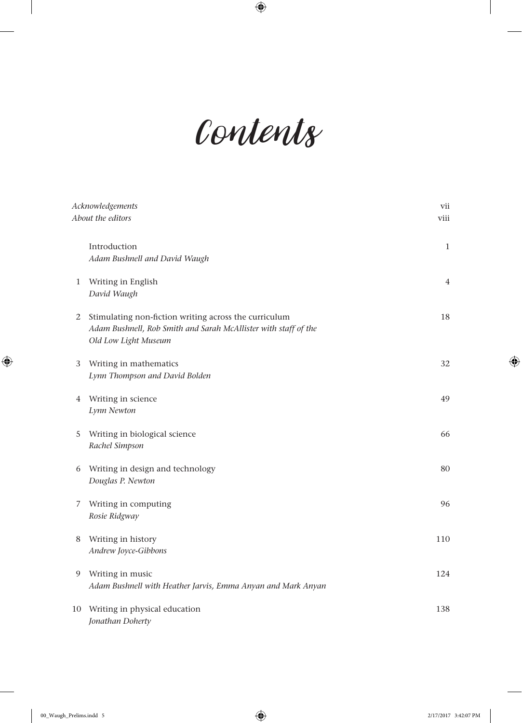## *Contents*

 $\bigoplus$ 

| Acknowledgements                                                                                                                                                                                                                           |                                                                                  | vii            |
|--------------------------------------------------------------------------------------------------------------------------------------------------------------------------------------------------------------------------------------------|----------------------------------------------------------------------------------|----------------|
| About the editors<br>Introduction<br>Adam Bushnell and David Waugh<br>1 Writing in English<br>David Waugh<br>Stimulating non-fiction writing across the curriculum<br>2<br>Adam Bushnell, Rob Smith and Sarah McAllister with staff of the |                                                                                  | viii           |
|                                                                                                                                                                                                                                            |                                                                                  | $\mathbf{1}$   |
|                                                                                                                                                                                                                                            |                                                                                  | $\overline{4}$ |
|                                                                                                                                                                                                                                            | Old Low Light Museum                                                             | 18             |
| 3                                                                                                                                                                                                                                          | Writing in mathematics<br>Lynn Thompson and David Bolden                         | 32             |
| 4                                                                                                                                                                                                                                          | Writing in science<br>Lynn Newton                                                | 49             |
| 5                                                                                                                                                                                                                                          | Writing in biological science<br>Rachel Simpson                                  | 66             |
| 6                                                                                                                                                                                                                                          | Writing in design and technology<br>Douglas P. Newton                            | 80             |
| 7                                                                                                                                                                                                                                          | Writing in computing<br>Rosie Ridgway                                            | 96             |
| 8                                                                                                                                                                                                                                          | Writing in history<br>Andrew Joyce-Gibbons                                       | 110            |
| 9                                                                                                                                                                                                                                          | Writing in music<br>Adam Bushnell with Heather Jarvis, Emma Anyan and Mark Anyan | 124            |
| 10                                                                                                                                                                                                                                         | Writing in physical education<br>Jonathan Doherty                                | 138            |

 $\overline{\phantom{a}}$ 

 $\bigoplus$ 

 $\bigoplus$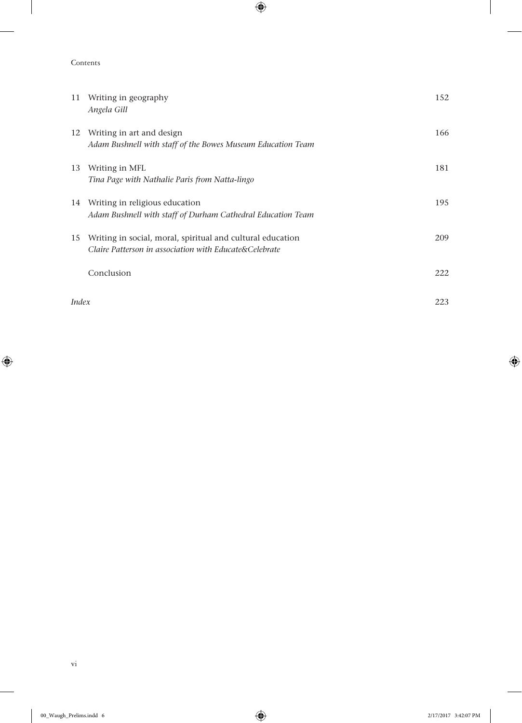Contents

 $\overline{\phantom{a}}$ 

 $\bigoplus$ 

| 11    | Writing in geography<br>Angela Gill                                                                                  | 152 |
|-------|----------------------------------------------------------------------------------------------------------------------|-----|
| 12    | Writing in art and design<br>Adam Bushnell with staff of the Bowes Museum Education Team                             | 166 |
| 13    | Writing in MFL<br>Tina Page with Nathalie Paris from Natta-lingo                                                     | 181 |
|       | 14 Writing in religious education<br>Adam Bushnell with staff of Durham Cathedral Education Team                     | 195 |
| 15    | Writing in social, moral, spiritual and cultural education<br>Claire Patterson in association with Educate&Celebrate | 209 |
|       | Conclusion                                                                                                           | 222 |
| Index |                                                                                                                      | 223 |

 $\bigoplus$ 

 $\mathbf{I}$ 

 $\bigoplus$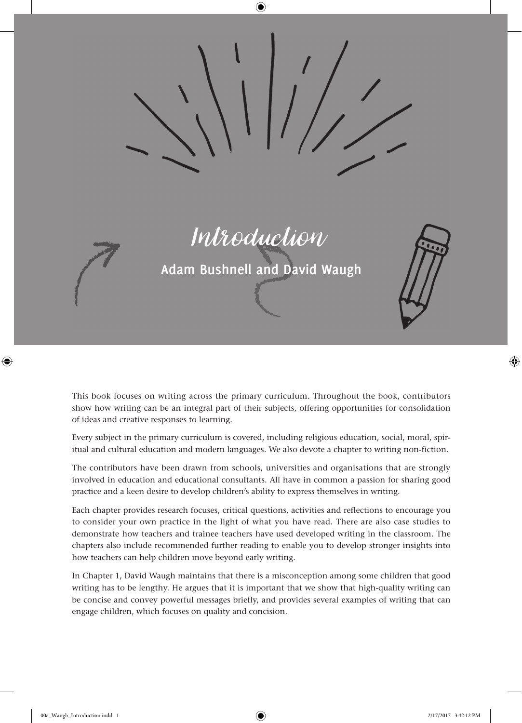

This book focuses on writing across the primary curriculum. Throughout the book, contributors show how writing can be an integral part of their subjects, offering opportunities for consolidation of ideas and creative responses to learning.

Every subject in the primary curriculum is covered, including religious education, social, moral, spiritual and cultural education and modern languages. We also devote a chapter to writing non-fiction.

The contributors have been drawn from schools, universities and organisations that are strongly involved in education and educational consultants. All have in common a passion for sharing good practice and a keen desire to develop children's ability to express themselves in writing.

Each chapter provides research focuses, critical questions, activities and reflections to encourage you to consider your own practice in the light of what you have read. There are also case studies to demonstrate how teachers and trainee teachers have used developed writing in the classroom. The chapters also include recommended further reading to enable you to develop stronger insights into how teachers can help children move beyond early writing.

In Chapter 1, David Waugh maintains that there is a misconception among some children that good writing has to be lengthy. He argues that it is important that we show that high-quality writing can be concise and convey powerful messages briefly, and provides several examples of writing that can engage children, which focuses on quality and concision.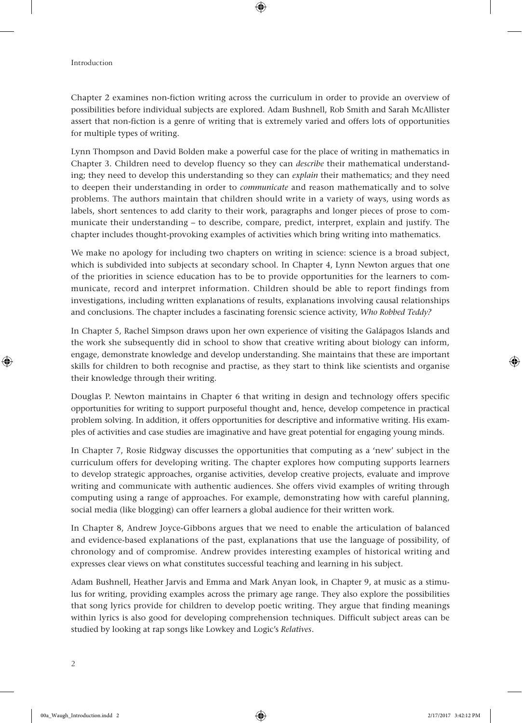## Introduction

Chapter 2 examines non-fiction writing across the curriculum in order to provide an overview of possibilities before individual subjects are explored. Adam Bushnell, Rob Smith and Sarah McAllister assert that non-fiction is a genre of writing that is extremely varied and offers lots of opportunities for multiple types of writing.

⊕

Lynn Thompson and David Bolden make a powerful case for the place of writing in mathematics in Chapter 3. Children need to develop fluency so they can *describe* their mathematical understanding; they need to develop this understanding so they can *explain* their mathematics; and they need to deepen their understanding in order to *communicate* and reason mathematically and to solve problems. The authors maintain that children should write in a variety of ways, using words as labels, short sentences to add clarity to their work, paragraphs and longer pieces of prose to communicate their understanding – to describe, compare, predict, interpret, explain and justify. The chapter includes thought-provoking examples of activities which bring writing into mathematics.

We make no apology for including two chapters on writing in science: science is a broad subject, which is subdivided into subjects at secondary school. In Chapter 4, Lynn Newton argues that one of the priorities in science education has to be to provide opportunities for the learners to communicate, record and interpret information. Children should be able to report findings from investigations, including written explanations of results, explanations involving causal relationships and conclusions. The chapter includes a fascinating forensic science activity, *Who Robbed Teddy?*

In Chapter 5, Rachel Simpson draws upon her own experience of visiting the Galápagos Islands and the work she subsequently did in school to show that creative writing about biology can inform, engage, demonstrate knowledge and develop understanding. She maintains that these are important skills for children to both recognise and practise, as they start to think like scientists and organise their knowledge through their writing.

Douglas P. Newton maintains in Chapter 6 that writing in design and technology offers specific opportunities for writing to support purposeful thought and, hence, develop competence in practical problem solving. In addition, it offers opportunities for descriptive and informative writing. His examples of activities and case studies are imaginative and have great potential for engaging young minds.

In Chapter 7, Rosie Ridgway discusses the opportunities that computing as a 'new' subject in the curriculum offers for developing writing. The chapter explores how computing supports learners to develop strategic approaches, organise activities, develop creative projects, evaluate and improve writing and communicate with authentic audiences. She offers vivid examples of writing through computing using a range of approaches. For example, demonstrating how with careful planning, social media (like blogging) can offer learners a global audience for their written work.

In Chapter 8, Andrew Joyce-Gibbons argues that we need to enable the articulation of balanced and evidence-based explanations of the past, explanations that use the language of possibility, of chronology and of compromise. Andrew provides interesting examples of historical writing and expresses clear views on what constitutes successful teaching and learning in his subject.

Adam Bushnell, Heather Jarvis and Emma and Mark Anyan look, in Chapter 9, at music as a stimulus for writing, providing examples across the primary age range. They also explore the possibilities that song lyrics provide for children to develop poetic writing. They argue that finding meanings within lyrics is also good for developing comprehension techniques. Difficult subject areas can be studied by looking at rap songs like Lowkey and Logic's *Relatives*.

⊕